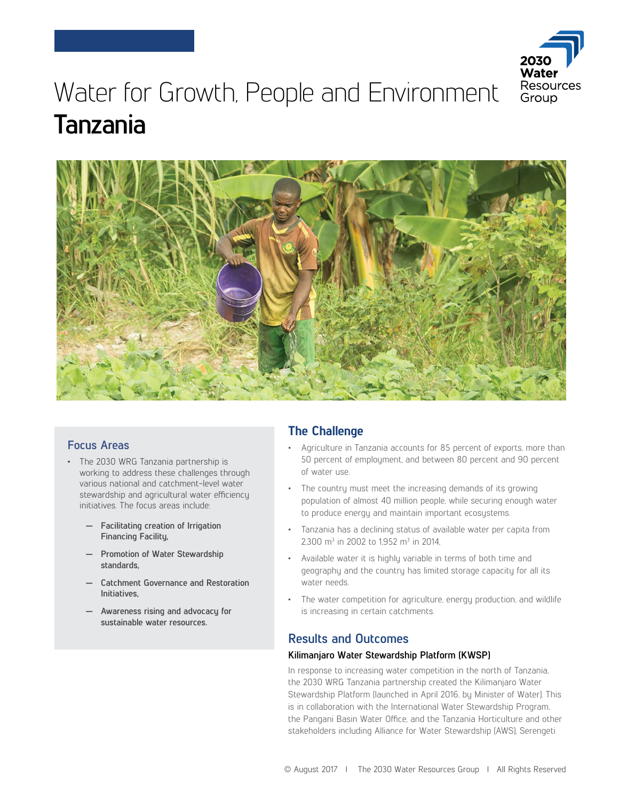

# Water for Growth, People and Environment **Tanzania**



## **Focus Areas**

- The 2030 WRG Tanzania partnership is working to address these challenges through various national and catchment-level water stewardship and agricultural water efficiency initiatives. The focus areas include:
	- **— Facilitating creation of Irrigation Financing Facility,**
	- **— Promotion of Water Stewardship standards,**
	- **— Catchment Governance and Restoration Initiatives,**
	- **— Awareness rising and advocacy for sustainable water resources.**

# **The Challenge**

- Agriculture in Tanzania accounts for 85 percent of exports, more than 50 percent of employment, and between 80 percent and 90 percent of water use.
- The country must meet the increasing demands of its growing population of almost 40 million people, while securing enough water to produce energy and maintain important ecosystems.
- Tanzania has a declining status of available water per capita from 2,300 m<sup>3</sup> in 2002 to 1,952 m<sup>3</sup> in 2014,
- Available water it is highly variable in terms of both time and geography and the country has limited storage capacity for all its water needs.
- The water competition for agriculture, energy production, and wildlife is increasing in certain catchments.

# **Results and Outcomes**

#### **Kilimanjaro Water Stewardship Platform (KWSP)**

In response to increasing water competition in the north of Tanzania, the 2030 WRG Tanzania partnership created the Kilimanjaro Water Stewardship Platform (launched in April 2016, by Minister of Water). This is in collaboration with the International Water Stewardship Program, the Pangani Basin Water Office, and the Tanzania Horticulture and other stakeholders including Alliance for Water Stewardship (AWS), Serengeti